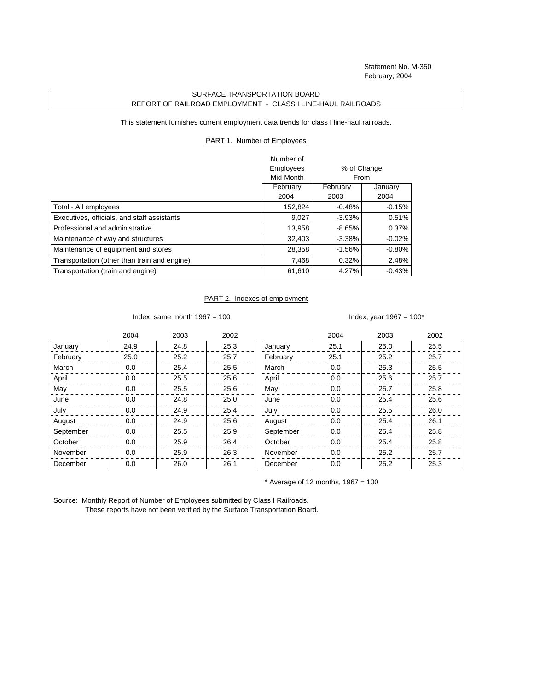Statement No. M-350 February, 2004

## SURFACE TRANSPORTATION BOARD REPORT OF RAILROAD EMPLOYMENT - CLASS I LINE-HAUL RAILROADS

This statement furnishes current employment data trends for class I line-haul railroads.

## PART 1. Number of Employees

|                                              | Number of |             |           |
|----------------------------------------------|-----------|-------------|-----------|
|                                              | Employees | % of Change |           |
|                                              | Mid-Month | From        |           |
|                                              | February  | February    | January   |
|                                              | 2004      | 2003        | 2004      |
| Total - All employees                        | 152,824   | $-0.48%$    | $-0.15%$  |
| Executives, officials, and staff assistants  | 9,027     | $-3.93%$    | 0.51%     |
| Professional and administrative              | 13,958    | $-8.65%$    | 0.37%     |
| Maintenance of way and structures            | 32,403    | $-3.38%$    | $-0.02\%$ |
| Maintenance of equipment and stores          | 28,358    | $-1.56%$    | $-0.80\%$ |
| Transportation (other than train and engine) | 7,468     | 0.32%       | 2.48%     |
| Transportation (train and engine)            | 61,610    | 4.27%       | $-0.43%$  |

## PART 2. Indexes of employment

Index, same month  $1967 = 100$  Index, year  $1967 = 100^*$ 

|           | 2004 | 2003 | 2002 |           | 2004 | 2003 | 2002 |
|-----------|------|------|------|-----------|------|------|------|
| January   | 24.9 | 24.8 | 25.3 | January   | 25.1 | 25.0 | 25.5 |
| February  | 25.0 | 25.2 | 25.7 | February  | 25.1 | 25.2 | 25.7 |
| March     | 0.0  | 25.4 | 25.5 | March     | 0.0  | 25.3 | 25.5 |
| April     | 0.0  | 25.5 | 25.6 | April     | 0.0  | 25.6 | 25.7 |
| May       | 0.0  | 25.5 | 25.6 | May       | 0.0  | 25.7 | 25.8 |
| June      | 0.0  | 24.8 | 25.0 | June      | 0.0  | 25.4 | 25.6 |
| July      | 0.0  | 24.9 | 25.4 | July      | 0.0  | 25.5 | 26.0 |
| August    | 0.0  | 24.9 | 25.6 | August    | 0.0  | 25.4 | 26.1 |
| September | 0.0  | 25.5 | 25.9 | September | 0.0  | 25.4 | 25.8 |
| October   | 0.0  | 25.9 | 26.4 | October   | 0.0  | 25.4 | 25.8 |
| November  | 0.0  | 25.9 | 26.3 | November  | 0.0  | 25.2 | 25.7 |
| December  | 0.0  | 26.0 | 26.1 | December  | 0.0  | 25.2 | 25.3 |

 $*$  Average of 12 months, 1967 = 100

Source: Monthly Report of Number of Employees submitted by Class I Railroads. These reports have not been verified by the Surface Transportation Board.